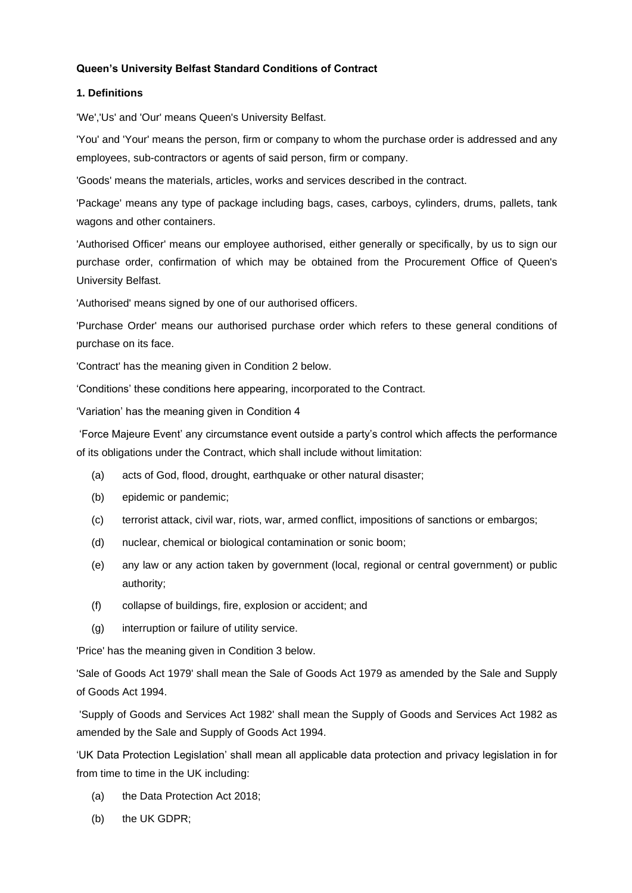## **Queen's University Belfast Standard Conditions of Contract**

#### **1. Definitions**

'We','Us' and 'Our' means Queen's University Belfast.

'You' and 'Your' means the person, firm or company to whom the purchase order is addressed and any employees, sub-contractors or agents of said person, firm or company.

'Goods' means the materials, articles, works and services described in the contract.

'Package' means any type of package including bags, cases, carboys, cylinders, drums, pallets, tank wagons and other containers.

'Authorised Officer' means our employee authorised, either generally or specifically, by us to sign our purchase order, confirmation of which may be obtained from the Procurement Office of Queen's University Belfast.

'Authorised' means signed by one of our authorised officers.

'Purchase Order' means our authorised purchase order which refers to these general conditions of purchase on its face.

'Contract' has the meaning given in Condition 2 below.

'Conditions' these conditions here appearing, incorporated to the Contract.

'Variation' has the meaning given in Condition 4

'Force Majeure Event' any circumstance event outside a party's control which affects the performance of its obligations under the Contract, which shall include without limitation:

- (a) acts of God, flood, drought, earthquake or other natural disaster;
- (b) epidemic or pandemic;
- (c) terrorist attack, civil war, riots, war, armed conflict, impositions of sanctions or embargos;
- (d) nuclear, chemical or biological contamination or sonic boom;
- (e) any law or any action taken by government (local, regional or central government) or public authority;
- (f) collapse of buildings, fire, explosion or accident; and
- (g) interruption or failure of utility service.

'Price' has the meaning given in Condition 3 below.

'Sale of Goods Act 1979' shall mean the Sale of Goods Act 1979 as amended by the Sale and Supply of Goods Act 1994.

'Supply of Goods and Services Act 1982' shall mean the Supply of Goods and Services Act 1982 as amended by the Sale and Supply of Goods Act 1994.

'UK Data Protection Legislation' shall mean all applicable data protection and privacy legislation in for from time to time in the UK including:

- (a) the Data Protection Act 2018;
- (b) the UK GDPR;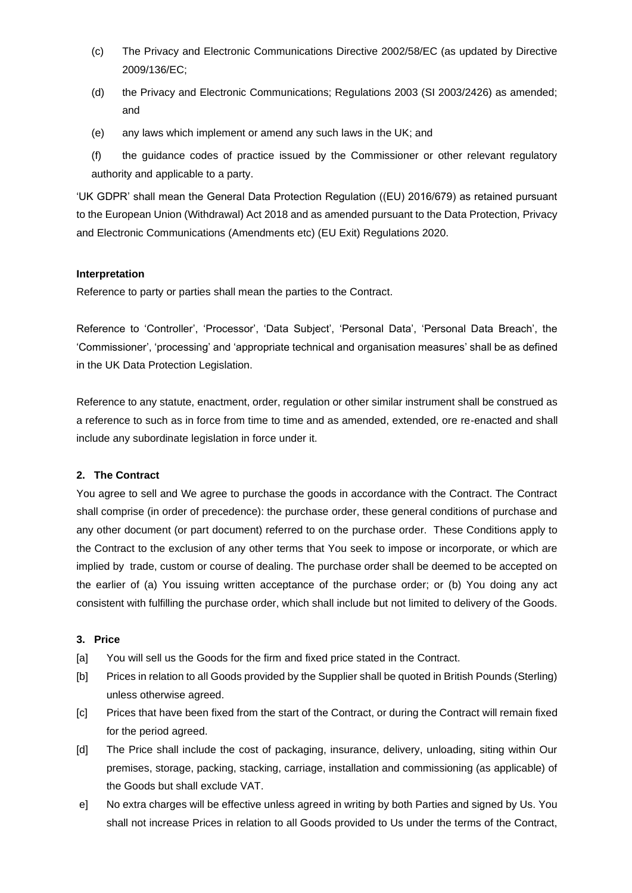- (c) The Privacy and Electronic Communications Directive 2002/58/EC (as updated by Directive 2009/136/EC;
- (d) the Privacy and Electronic Communications; Regulations 2003 (SI 2003/2426) as amended; and
- (e) any laws which implement or amend any such laws in the UK; and

(f) the guidance codes of practice issued by the Commissioner or other relevant regulatory authority and applicable to a party.

'UK GDPR' shall mean the General Data Protection Regulation ((EU) 2016/679) as retained pursuant to the European Union (Withdrawal) Act 2018 and as amended pursuant to the Data Protection, Privacy and Electronic Communications (Amendments etc) (EU Exit) Regulations 2020.

## **Interpretation**

Reference to party or parties shall mean the parties to the Contract.

Reference to 'Controller', 'Processor', 'Data Subject', 'Personal Data', 'Personal Data Breach', the 'Commissioner', 'processing' and 'appropriate technical and organisation measures' shall be as defined in the UK Data Protection Legislation.

Reference to any statute, enactment, order, regulation or other similar instrument shall be construed as a reference to such as in force from time to time and as amended, extended, ore re-enacted and shall include any subordinate legislation in force under it.

## **2. The Contract**

You agree to sell and We agree to purchase the goods in accordance with the Contract. The Contract shall comprise (in order of precedence): the purchase order, these general conditions of purchase and any other document (or part document) referred to on the purchase order. These Conditions apply to the Contract to the exclusion of any other terms that You seek to impose or incorporate, or which are implied by trade, custom or course of dealing. The purchase order shall be deemed to be accepted on the earlier of (a) You issuing written acceptance of the purchase order; or (b) You doing any act consistent with fulfilling the purchase order, which shall include but not limited to delivery of the Goods.

## **3. Price**

- [a] You will sell us the Goods for the firm and fixed price stated in the Contract.
- [b] Prices in relation to all Goods provided by the Supplier shall be quoted in British Pounds (Sterling) unless otherwise agreed.
- [c] Prices that have been fixed from the start of the Contract, or during the Contract will remain fixed for the period agreed.
- [d] The Price shall include the cost of packaging, insurance, delivery, unloading, siting within Our premises, storage, packing, stacking, carriage, installation and commissioning (as applicable) of the Goods but shall exclude VAT.
- e] No extra charges will be effective unless agreed in writing by both Parties and signed by Us. You shall not increase Prices in relation to all Goods provided to Us under the terms of the Contract,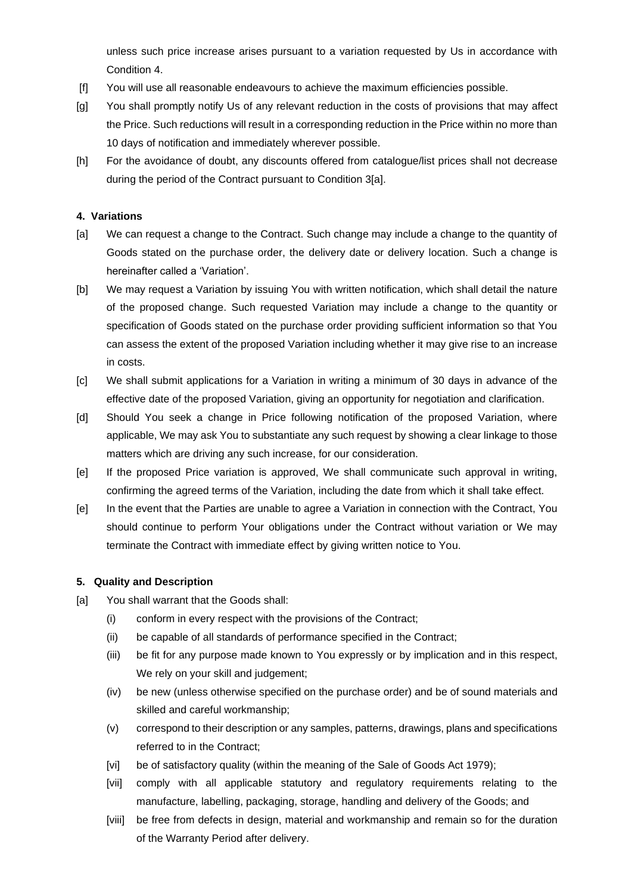unless such price increase arises pursuant to a variation requested by Us in accordance with Condition 4.

- [f] You will use all reasonable endeavours to achieve the maximum efficiencies possible.
- [g] You shall promptly notify Us of any relevant reduction in the costs of provisions that may affect the Price. Such reductions will result in a corresponding reduction in the Price within no more than 10 days of notification and immediately wherever possible.
- [h] For the avoidance of doubt, any discounts offered from catalogue/list prices shall not decrease during the period of the Contract pursuant to Condition 3[a].

### **4. Variations**

- [a] We can request a change to the Contract. Such change may include a change to the quantity of Goods stated on the purchase order, the delivery date or delivery location. Such a change is hereinafter called a 'Variation'.
- [b] We may request a Variation by issuing You with written notification, which shall detail the nature of the proposed change. Such requested Variation may include a change to the quantity or specification of Goods stated on the purchase order providing sufficient information so that You can assess the extent of the proposed Variation including whether it may give rise to an increase in costs.
- [c] We shall submit applications for a Variation in writing a minimum of 30 days in advance of the effective date of the proposed Variation, giving an opportunity for negotiation and clarification.
- [d] Should You seek a change in Price following notification of the proposed Variation, where applicable, We may ask You to substantiate any such request by showing a clear linkage to those matters which are driving any such increase, for our consideration.
- [e] If the proposed Price variation is approved, We shall communicate such approval in writing, confirming the agreed terms of the Variation, including the date from which it shall take effect.
- [e] In the event that the Parties are unable to agree a Variation in connection with the Contract, You should continue to perform Your obligations under the Contract without variation or We may terminate the Contract with immediate effect by giving written notice to You.

#### **5. Quality and Description**

- [a] You shall warrant that the Goods shall:
	- (i) conform in every respect with the provisions of the Contract;
	- (ii) be capable of all standards of performance specified in the Contract;
	- (iii) be fit for any purpose made known to You expressly or by implication and in this respect, We rely on your skill and judgement;
	- (iv) be new (unless otherwise specified on the purchase order) and be of sound materials and skilled and careful workmanship;
	- (v) correspond to their description or any samples, patterns, drawings, plans and specifications referred to in the Contract;
	- [vi] be of satisfactory quality (within the meaning of the Sale of Goods Act 1979);
	- [vii] comply with all applicable statutory and regulatory requirements relating to the manufacture, labelling, packaging, storage, handling and delivery of the Goods; and
	- [viii] be free from defects in design, material and workmanship and remain so for the duration of the Warranty Period after delivery.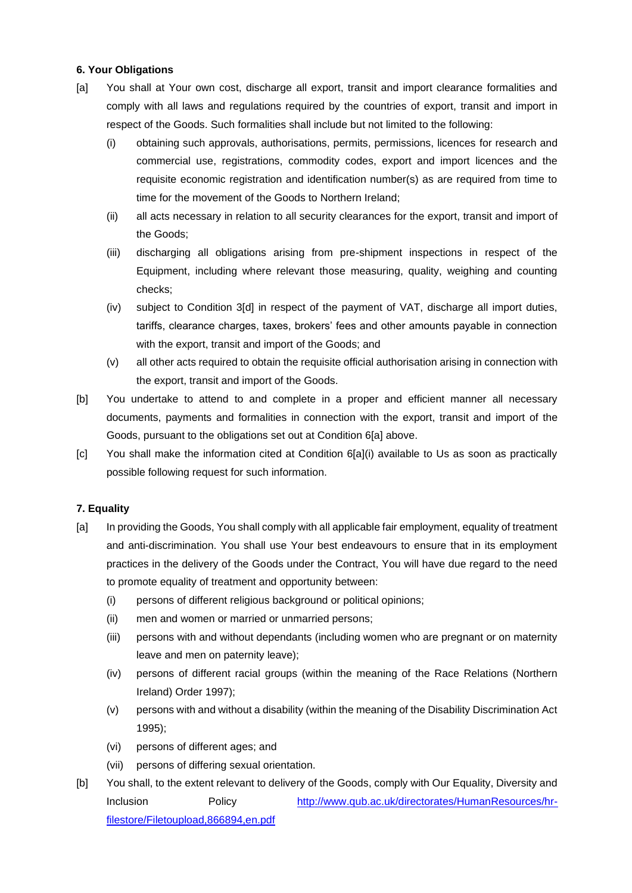## **6. Your Obligations**

- [a] You shall at Your own cost, discharge all export, transit and import clearance formalities and comply with all laws and regulations required by the countries of export, transit and import in respect of the Goods. Such formalities shall include but not limited to the following:
	- (i) obtaining such approvals, authorisations, permits, permissions, licences for research and commercial use, registrations, commodity codes, export and import licences and the requisite economic registration and identification number(s) as are required from time to time for the movement of the Goods to Northern Ireland;
	- (ii) all acts necessary in relation to all security clearances for the export, transit and import of the Goods;
	- (iii) discharging all obligations arising from pre-shipment inspections in respect of the Equipment, including where relevant those measuring, quality, weighing and counting checks;
	- (iv) subject to Condition 3[d] in respect of the payment of VAT, discharge all import duties, tariffs, clearance charges, taxes, brokers' fees and other amounts payable in connection with the export, transit and import of the Goods; and
	- (v) all other acts required to obtain the requisite official authorisation arising in connection with the export, transit and import of the Goods.
- [b] You undertake to attend to and complete in a proper and efficient manner all necessary documents, payments and formalities in connection with the export, transit and import of the Goods, pursuant to the obligations set out at Condition 6[a] above.
- [c] You shall make the information cited at Condition 6[a](i) available to Us as soon as practically possible following request for such information.

## **7. Equality**

- [a] In providing the Goods, You shall comply with all applicable fair employment, equality of treatment and anti-discrimination. You shall use Your best endeavours to ensure that in its employment practices in the delivery of the Goods under the Contract, You will have due regard to the need to promote equality of treatment and opportunity between:
	- (i) persons of different religious background or political opinions;
	- (ii) men and women or married or unmarried persons;
	- (iii) persons with and without dependants (including women who are pregnant or on maternity leave and men on paternity leave);
	- (iv) persons of different racial groups (within the meaning of the Race Relations (Northern Ireland) Order 1997);
	- (v) persons with and without a disability (within the meaning of the Disability Discrimination Act 1995);
	- (vi) persons of different ages; and
	- (vii) persons of differing sexual orientation.
- [b] You shall, to the extent relevant to delivery of the Goods, comply with Our Equality, Diversity and Inclusion Policy [http://www.qub.ac.uk/directorates/HumanResources/hr](http://www.qub.ac.uk/directorates/HumanResources/hr-filestore/Filetoupload,866894,en.pdf)[filestore/Filetoupload,866894,en.pdf](http://www.qub.ac.uk/directorates/HumanResources/hr-filestore/Filetoupload,866894,en.pdf)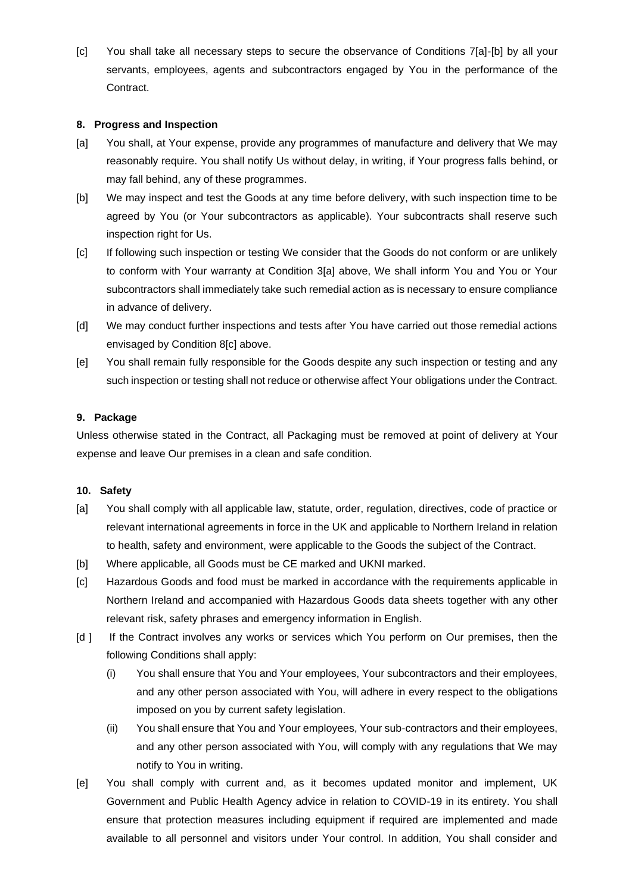[c] You shall take all necessary steps to secure the observance of Conditions 7[a]-[b] by all your servants, employees, agents and subcontractors engaged by You in the performance of the Contract.

#### **8. Progress and Inspection**

- [a] You shall, at Your expense, provide any programmes of manufacture and delivery that We may reasonably require. You shall notify Us without delay, in writing, if Your progress falls behind, or may fall behind, any of these programmes.
- [b] We may inspect and test the Goods at any time before delivery, with such inspection time to be agreed by You (or Your subcontractors as applicable). Your subcontracts shall reserve such inspection right for Us.
- [c] If following such inspection or testing We consider that the Goods do not conform or are unlikely to conform with Your warranty at Condition 3[a] above, We shall inform You and You or Your subcontractors shall immediately take such remedial action as is necessary to ensure compliance in advance of delivery.
- [d] We may conduct further inspections and tests after You have carried out those remedial actions envisaged by Condition 8[c] above.
- [e] You shall remain fully responsible for the Goods despite any such inspection or testing and any such inspection or testing shall not reduce or otherwise affect Your obligations under the Contract.

## **9. Package**

Unless otherwise stated in the Contract, all Packaging must be removed at point of delivery at Your expense and leave Our premises in a clean and safe condition.

#### **10. Safety**

- [a] You shall comply with all applicable law, statute, order, regulation, directives, code of practice or relevant international agreements in force in the UK and applicable to Northern Ireland in relation to health, safety and environment, were applicable to the Goods the subject of the Contract.
- [b] Where applicable, all Goods must be CE marked and UKNI marked.
- [c] Hazardous Goods and food must be marked in accordance with the requirements applicable in Northern Ireland and accompanied with Hazardous Goods data sheets together with any other relevant risk, safety phrases and emergency information in English.
- [d ] If the Contract involves any works or services which You perform on Our premises, then the following Conditions shall apply:
	- (i) You shall ensure that You and Your employees, Your subcontractors and their employees, and any other person associated with You, will adhere in every respect to the obligations imposed on you by current safety legislation.
	- (ii) You shall ensure that You and Your employees, Your sub-contractors and their employees, and any other person associated with You, will comply with any regulations that We may notify to You in writing.
- [e] You shall comply with current and, as it becomes updated monitor and implement, UK Government and Public Health Agency advice in relation to COVID-19 in its entirety. You shall ensure that protection measures including equipment if required are implemented and made available to all personnel and visitors under Your control. In addition, You shall consider and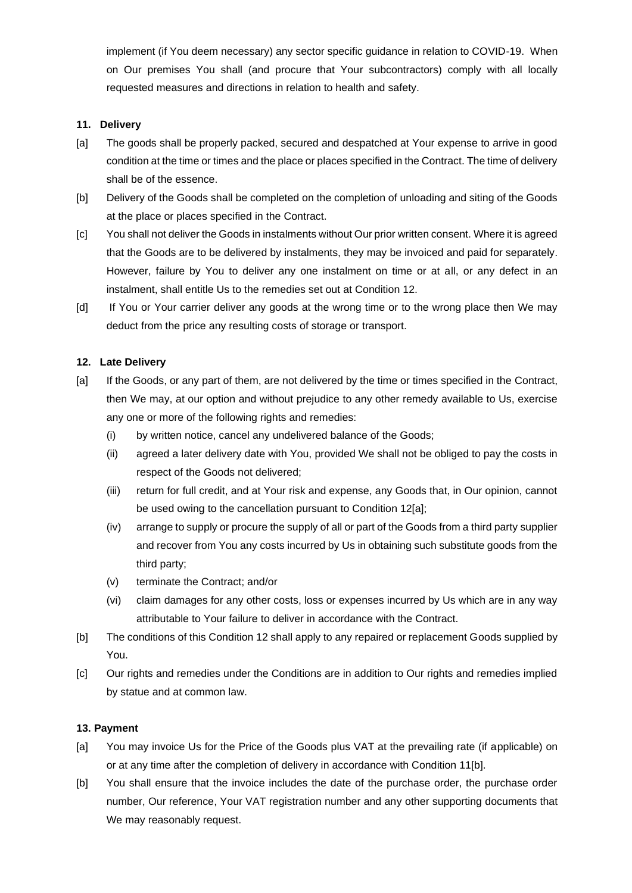implement (if You deem necessary) any sector specific guidance in relation to COVID-19. When on Our premises You shall (and procure that Your subcontractors) comply with all locally requested measures and directions in relation to health and safety.

### **11. Delivery**

- [a] The goods shall be properly packed, secured and despatched at Your expense to arrive in good condition at the time or times and the place or places specified in the Contract. The time of delivery shall be of the essence.
- [b] Delivery of the Goods shall be completed on the completion of unloading and siting of the Goods at the place or places specified in the Contract.
- [c] You shall not deliver the Goods in instalments without Our prior written consent. Where it is agreed that the Goods are to be delivered by instalments, they may be invoiced and paid for separately. However, failure by You to deliver any one instalment on time or at all, or any defect in an instalment, shall entitle Us to the remedies set out at Condition 12.
- [d] If You or Your carrier deliver any goods at the wrong time or to the wrong place then We may deduct from the price any resulting costs of storage or transport.

## **12. Late Delivery**

- [a] If the Goods, or any part of them, are not delivered by the time or times specified in the Contract, then We may, at our option and without prejudice to any other remedy available to Us, exercise any one or more of the following rights and remedies:
	- (i) by written notice, cancel any undelivered balance of the Goods;
	- (ii) agreed a later delivery date with You, provided We shall not be obliged to pay the costs in respect of the Goods not delivered;
	- (iii) return for full credit, and at Your risk and expense, any Goods that, in Our opinion, cannot be used owing to the cancellation pursuant to Condition 12[a];
	- (iv) arrange to supply or procure the supply of all or part of the Goods from a third party supplier and recover from You any costs incurred by Us in obtaining such substitute goods from the third party;
	- (v) terminate the Contract; and/or
	- (vi) claim damages for any other costs, loss or expenses incurred by Us which are in any way attributable to Your failure to deliver in accordance with the Contract.
- [b] The conditions of this Condition 12 shall apply to any repaired or replacement Goods supplied by You.
- [c] Our rights and remedies under the Conditions are in addition to Our rights and remedies implied by statue and at common law.

#### **13. Payment**

- [a] You may invoice Us for the Price of the Goods plus VAT at the prevailing rate (if applicable) on or at any time after the completion of delivery in accordance with Condition 11[b].
- [b] You shall ensure that the invoice includes the date of the purchase order, the purchase order number, Our reference, Your VAT registration number and any other supporting documents that We may reasonably request.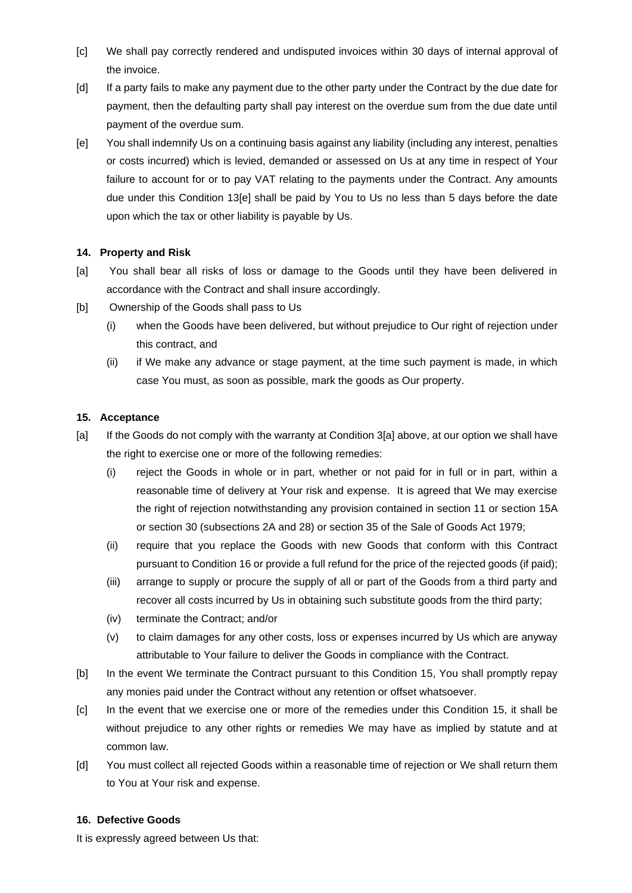- [c] We shall pay correctly rendered and undisputed invoices within 30 days of internal approval of the invoice.
- [d] If a party fails to make any payment due to the other party under the Contract by the due date for payment, then the defaulting party shall pay interest on the overdue sum from the due date until payment of the overdue sum.
- [e] You shall indemnify Us on a continuing basis against any liability (including any interest, penalties or costs incurred) which is levied, demanded or assessed on Us at any time in respect of Your failure to account for or to pay VAT relating to the payments under the Contract. Any amounts due under this Condition 13[e] shall be paid by You to Us no less than 5 days before the date upon which the tax or other liability is payable by Us.

## **14. Property and Risk**

- [a] You shall bear all risks of loss or damage to the Goods until they have been delivered in accordance with the Contract and shall insure accordingly.
- [b] Ownership of the Goods shall pass to Us
	- (i) when the Goods have been delivered, but without prejudice to Our right of rejection under this contract, and
	- (ii) if We make any advance or stage payment, at the time such payment is made, in which case You must, as soon as possible, mark the goods as Our property.

## **15. Acceptance**

- [a] If the Goods do not comply with the warranty at Condition 3[a] above, at our option we shall have the right to exercise one or more of the following remedies:
	- (i) reject the Goods in whole or in part, whether or not paid for in full or in part, within a reasonable time of delivery at Your risk and expense. It is agreed that We may exercise the right of rejection notwithstanding any provision contained in section 11 or section 15A or section 30 (subsections 2A and 28) or section 35 of the Sale of Goods Act 1979;
	- (ii) require that you replace the Goods with new Goods that conform with this Contract pursuant to Condition 16 or provide a full refund for the price of the rejected goods (if paid);
	- (iii) arrange to supply or procure the supply of all or part of the Goods from a third party and recover all costs incurred by Us in obtaining such substitute goods from the third party;
	- (iv) terminate the Contract; and/or
	- (v) to claim damages for any other costs, loss or expenses incurred by Us which are anyway attributable to Your failure to deliver the Goods in compliance with the Contract.
- [b] In the event We terminate the Contract pursuant to this Condition 15, You shall promptly repay any monies paid under the Contract without any retention or offset whatsoever.
- [c] In the event that we exercise one or more of the remedies under this Condition 15, it shall be without prejudice to any other rights or remedies We may have as implied by statute and at common law.
- [d] You must collect all rejected Goods within a reasonable time of rejection or We shall return them to You at Your risk and expense.

#### **16. Defective Goods**

It is expressly agreed between Us that: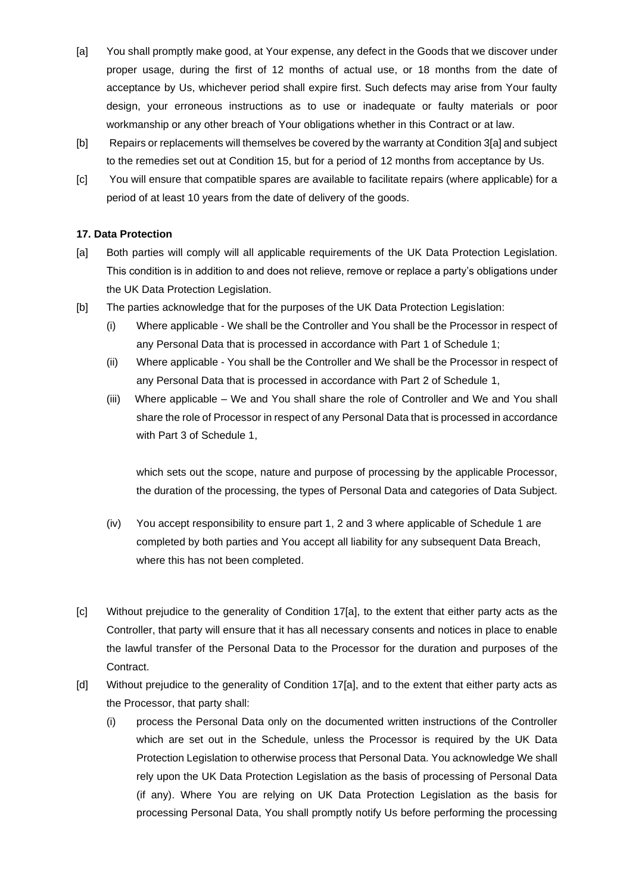- [a] You shall promptly make good, at Your expense, any defect in the Goods that we discover under proper usage, during the first of 12 months of actual use, or 18 months from the date of acceptance by Us, whichever period shall expire first. Such defects may arise from Your faulty design, your erroneous instructions as to use or inadequate or faulty materials or poor workmanship or any other breach of Your obligations whether in this Contract or at law.
- [b] Repairs or replacements will themselves be covered by the warranty at Condition 3[a] and subject to the remedies set out at Condition 15, but for a period of 12 months from acceptance by Us.
- [c] You will ensure that compatible spares are available to facilitate repairs (where applicable) for a period of at least 10 years from the date of delivery of the goods.

## **17. Data Protection**

- [a] Both parties will comply will all applicable requirements of the UK Data Protection Legislation. This condition is in addition to and does not relieve, remove or replace a party's obligations under the UK Data Protection Legislation.
- [b] The parties acknowledge that for the purposes of the UK Data Protection Legislation:
	- (i) Where applicable We shall be the Controller and You shall be the Processor in respect of any Personal Data that is processed in accordance with Part 1 of Schedule 1;
	- (ii) Where applicable You shall be the Controller and We shall be the Processor in respect of any Personal Data that is processed in accordance with Part 2 of Schedule 1,
	- (iii) Where applicable We and You shall share the role of Controller and We and You shall share the role of Processor in respect of any Personal Data that is processed in accordance with Part 3 of Schedule 1,

which sets out the scope, nature and purpose of processing by the applicable Processor, the duration of the processing, the types of Personal Data and categories of Data Subject.

- (iv) You accept responsibility to ensure part 1, 2 and 3 where applicable of Schedule 1 are completed by both parties and You accept all liability for any subsequent Data Breach, where this has not been completed.
- [c] Without prejudice to the generality of Condition 17[a], to the extent that either party acts as the Controller, that party will ensure that it has all necessary consents and notices in place to enable the lawful transfer of the Personal Data to the Processor for the duration and purposes of the Contract.
- [d] Without prejudice to the generality of Condition 17[a], and to the extent that either party acts as the Processor, that party shall:
	- (i) process the Personal Data only on the documented written instructions of the Controller which are set out in the Schedule, unless the Processor is required by the UK Data Protection Legislation to otherwise process that Personal Data. You acknowledge We shall rely upon the UK Data Protection Legislation as the basis of processing of Personal Data (if any). Where You are relying on UK Data Protection Legislation as the basis for processing Personal Data, You shall promptly notify Us before performing the processing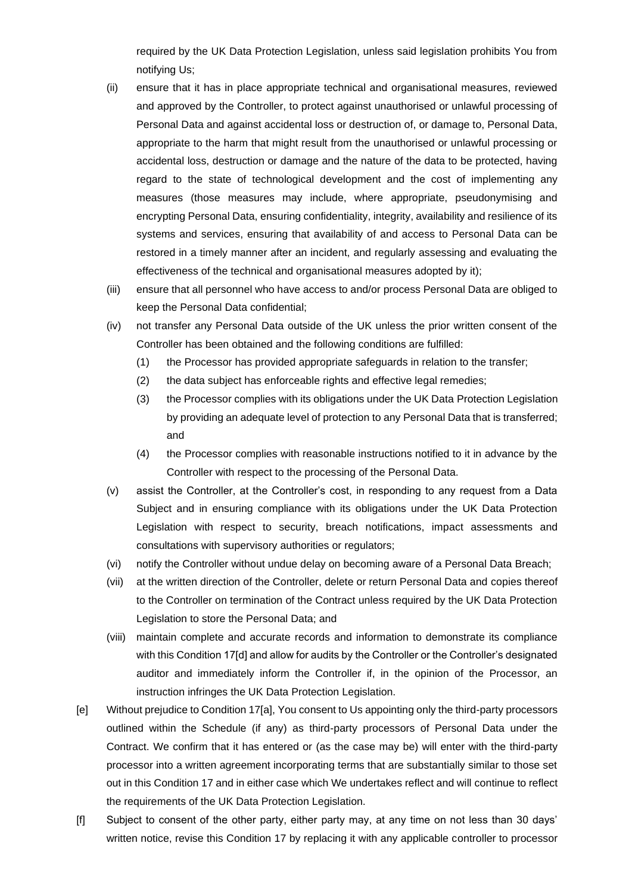required by the UK Data Protection Legislation, unless said legislation prohibits You from notifying Us;

- (ii) ensure that it has in place appropriate technical and organisational measures, reviewed and approved by the Controller, to protect against unauthorised or unlawful processing of Personal Data and against accidental loss or destruction of, or damage to, Personal Data, appropriate to the harm that might result from the unauthorised or unlawful processing or accidental loss, destruction or damage and the nature of the data to be protected, having regard to the state of technological development and the cost of implementing any measures (those measures may include, where appropriate, pseudonymising and encrypting Personal Data, ensuring confidentiality, integrity, availability and resilience of its systems and services, ensuring that availability of and access to Personal Data can be restored in a timely manner after an incident, and regularly assessing and evaluating the effectiveness of the technical and organisational measures adopted by it);
- (iii) ensure that all personnel who have access to and/or process Personal Data are obliged to keep the Personal Data confidential;
- (iv) not transfer any Personal Data outside of the UK unless the prior written consent of the Controller has been obtained and the following conditions are fulfilled:
	- (1) the Processor has provided appropriate safeguards in relation to the transfer;
	- (2) the data subject has enforceable rights and effective legal remedies;
	- (3) the Processor complies with its obligations under the UK Data Protection Legislation by providing an adequate level of protection to any Personal Data that is transferred; and
	- (4) the Processor complies with reasonable instructions notified to it in advance by the Controller with respect to the processing of the Personal Data.
- (v) assist the Controller, at the Controller's cost, in responding to any request from a Data Subject and in ensuring compliance with its obligations under the UK Data Protection Legislation with respect to security, breach notifications, impact assessments and consultations with supervisory authorities or regulators;
- (vi) notify the Controller without undue delay on becoming aware of a Personal Data Breach;
- (vii) at the written direction of the Controller, delete or return Personal Data and copies thereof to the Controller on termination of the Contract unless required by the UK Data Protection Legislation to store the Personal Data; and
- (viii) maintain complete and accurate records and information to demonstrate its compliance with this Condition 17[d] and allow for audits by the Controller or the Controller's designated auditor and immediately inform the Controller if, in the opinion of the Processor, an instruction infringes the UK Data Protection Legislation.
- [e] Without prejudice to Condition 17[a], You consent to Us appointing only the third-party processors outlined within the Schedule (if any) as third-party processors of Personal Data under the Contract. We confirm that it has entered or (as the case may be) will enter with the third-party processor into a written agreement incorporating terms that are substantially similar to those set out in this Condition 17 and in either case which We undertakes reflect and will continue to reflect the requirements of the UK Data Protection Legislation.
- [f] Subject to consent of the other party, either party may, at any time on not less than 30 days' written notice, revise this Condition 17 by replacing it with any applicable controller to processor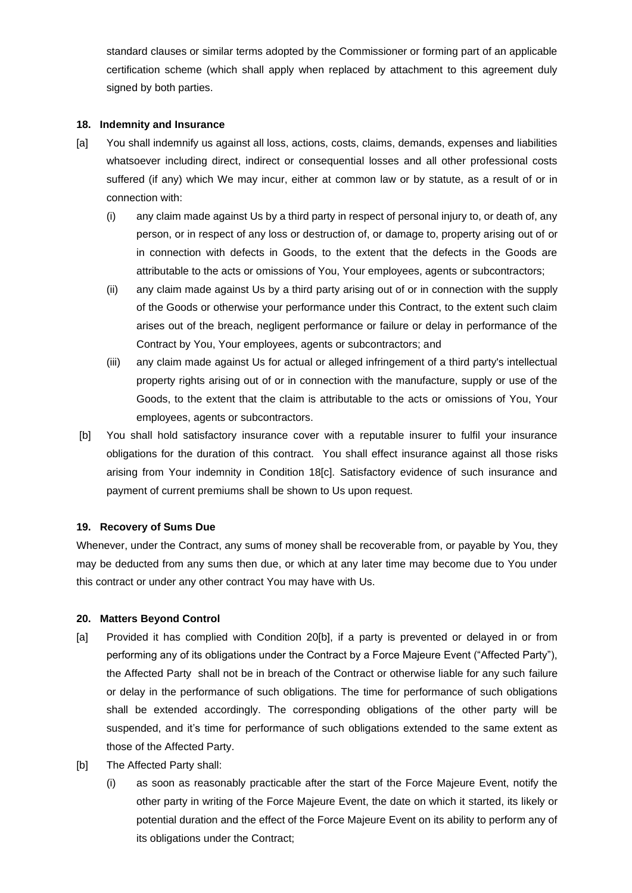standard clauses or similar terms adopted by the Commissioner or forming part of an applicable certification scheme (which shall apply when replaced by attachment to this agreement duly signed by both parties.

#### **18. Indemnity and Insurance**

- [a] You shall indemnify us against all loss, actions, costs, claims, demands, expenses and liabilities whatsoever including direct, indirect or consequential losses and all other professional costs suffered (if any) which We may incur, either at common law or by statute, as a result of or in connection with:
	- (i) any claim made against Us by a third party in respect of personal injury to, or death of, any person, or in respect of any loss or destruction of, or damage to, property arising out of or in connection with defects in Goods, to the extent that the defects in the Goods are attributable to the acts or omissions of You, Your employees, agents or subcontractors;
	- (ii) any claim made against Us by a third party arising out of or in connection with the supply of the Goods or otherwise your performance under this Contract, to the extent such claim arises out of the breach, negligent performance or failure or delay in performance of the Contract by You, Your employees, agents or subcontractors; and
	- (iii) any claim made against Us for actual or alleged infringement of a third party's intellectual property rights arising out of or in connection with the manufacture, supply or use of the Goods, to the extent that the claim is attributable to the acts or omissions of You, Your employees, agents or subcontractors.
- [b] You shall hold satisfactory insurance cover with a reputable insurer to fulfil your insurance obligations for the duration of this contract. You shall effect insurance against all those risks arising from Your indemnity in Condition 18[c]. Satisfactory evidence of such insurance and payment of current premiums shall be shown to Us upon request.

### **19. Recovery of Sums Due**

Whenever, under the Contract, any sums of money shall be recoverable from, or payable by You, they may be deducted from any sums then due, or which at any later time may become due to You under this contract or under any other contract You may have with Us.

#### **20. Matters Beyond Control**

- [a] Provided it has complied with Condition 20[b], if a party is prevented or delayed in or from performing any of its obligations under the Contract by a Force Majeure Event ("Affected Party"), the Affected Party shall not be in breach of the Contract or otherwise liable for any such failure or delay in the performance of such obligations. The time for performance of such obligations shall be extended accordingly. The corresponding obligations of the other party will be suspended, and it's time for performance of such obligations extended to the same extent as those of the Affected Party.
- [b] The Affected Party shall:
	- (i) as soon as reasonably practicable after the start of the Force Majeure Event, notify the other party in writing of the Force Majeure Event, the date on which it started, its likely or potential duration and the effect of the Force Majeure Event on its ability to perform any of its obligations under the Contract;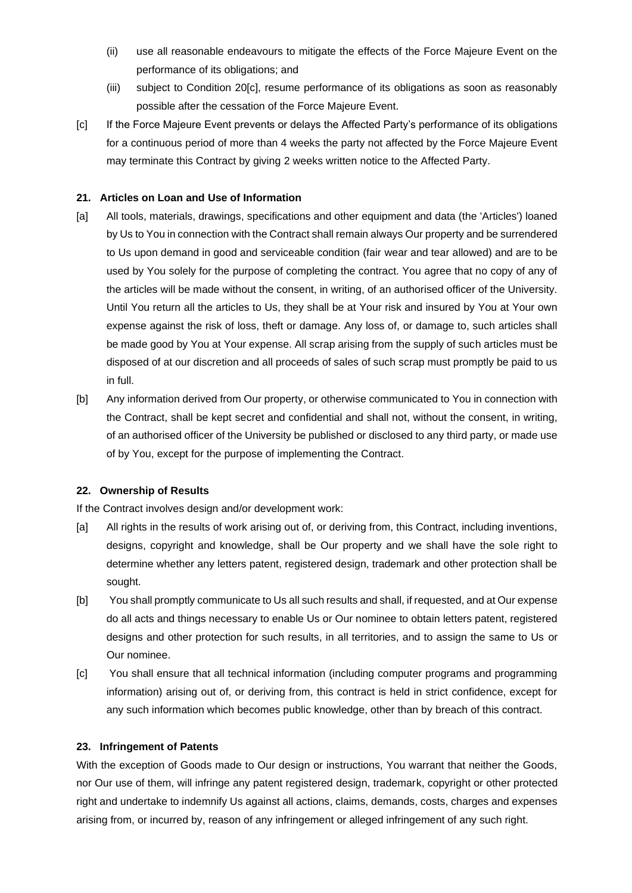- (ii) use all reasonable endeavours to mitigate the effects of the Force Majeure Event on the performance of its obligations; and
- (iii) subject to Condition 20[c], resume performance of its obligations as soon as reasonably possible after the cessation of the Force Majeure Event.
- [c] If the Force Majeure Event prevents or delays the Affected Party's performance of its obligations for a continuous period of more than 4 weeks the party not affected by the Force Majeure Event may terminate this Contract by giving 2 weeks written notice to the Affected Party.

## **21. Articles on Loan and Use of Information**

- [a] All tools, materials, drawings, specifications and other equipment and data (the 'Articles') loaned by Us to You in connection with the Contract shall remain always Our property and be surrendered to Us upon demand in good and serviceable condition (fair wear and tear allowed) and are to be used by You solely for the purpose of completing the contract. You agree that no copy of any of the articles will be made without the consent, in writing, of an authorised officer of the University. Until You return all the articles to Us, they shall be at Your risk and insured by You at Your own expense against the risk of loss, theft or damage. Any loss of, or damage to, such articles shall be made good by You at Your expense. All scrap arising from the supply of such articles must be disposed of at our discretion and all proceeds of sales of such scrap must promptly be paid to us in full.
- [b] Any information derived from Our property, or otherwise communicated to You in connection with the Contract, shall be kept secret and confidential and shall not, without the consent, in writing, of an authorised officer of the University be published or disclosed to any third party, or made use of by You, except for the purpose of implementing the Contract.

#### **22. Ownership of Results**

If the Contract involves design and/or development work:

- [a] All rights in the results of work arising out of, or deriving from, this Contract, including inventions, designs, copyright and knowledge, shall be Our property and we shall have the sole right to determine whether any letters patent, registered design, trademark and other protection shall be sought.
- [b] You shall promptly communicate to Us all such results and shall, if requested, and at Our expense do all acts and things necessary to enable Us or Our nominee to obtain letters patent, registered designs and other protection for such results, in all territories, and to assign the same to Us or Our nominee.
- [c] You shall ensure that all technical information (including computer programs and programming information) arising out of, or deriving from, this contract is held in strict confidence, except for any such information which becomes public knowledge, other than by breach of this contract.

#### **23. Infringement of Patents**

With the exception of Goods made to Our design or instructions, You warrant that neither the Goods, nor Our use of them, will infringe any patent registered design, trademark, copyright or other protected right and undertake to indemnify Us against all actions, claims, demands, costs, charges and expenses arising from, or incurred by, reason of any infringement or alleged infringement of any such right.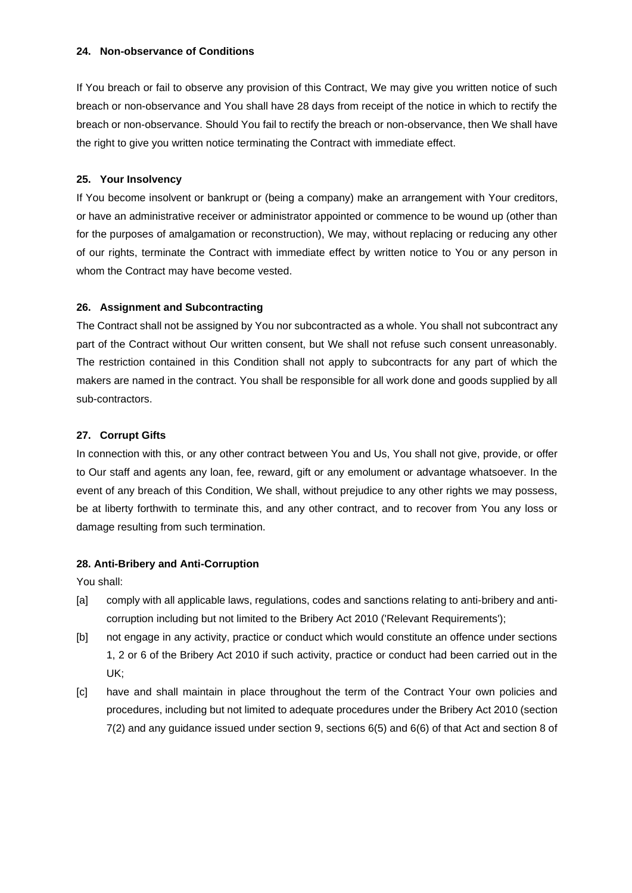#### **24. Non-observance of Conditions**

If You breach or fail to observe any provision of this Contract, We may give you written notice of such breach or non-observance and You shall have 28 days from receipt of the notice in which to rectify the breach or non-observance. Should You fail to rectify the breach or non-observance, then We shall have the right to give you written notice terminating the Contract with immediate effect.

#### **25. Your Insolvency**

If You become insolvent or bankrupt or (being a company) make an arrangement with Your creditors, or have an administrative receiver or administrator appointed or commence to be wound up (other than for the purposes of amalgamation or reconstruction), We may, without replacing or reducing any other of our rights, terminate the Contract with immediate effect by written notice to You or any person in whom the Contract may have become vested.

#### **26. Assignment and Subcontracting**

The Contract shall not be assigned by You nor subcontracted as a whole. You shall not subcontract any part of the Contract without Our written consent, but We shall not refuse such consent unreasonably. The restriction contained in this Condition shall not apply to subcontracts for any part of which the makers are named in the contract. You shall be responsible for all work done and goods supplied by all sub-contractors.

## **27. Corrupt Gifts**

In connection with this, or any other contract between You and Us, You shall not give, provide, or offer to Our staff and agents any loan, fee, reward, gift or any emolument or advantage whatsoever. In the event of any breach of this Condition, We shall, without prejudice to any other rights we may possess, be at liberty forthwith to terminate this, and any other contract, and to recover from You any loss or damage resulting from such termination.

#### **28. Anti-Bribery and Anti-Corruption**

You shall:

- [a] comply with all applicable laws, regulations, codes and sanctions relating to anti-bribery and anticorruption including but not limited to the Bribery Act 2010 ('Relevant Requirements');
- [b] not engage in any activity, practice or conduct which would constitute an offence under sections 1, 2 or 6 of the Bribery Act 2010 if such activity, practice or conduct had been carried out in the UK;
- [c] have and shall maintain in place throughout the term of the Contract Your own policies and procedures, including but not limited to adequate procedures under the Bribery Act 2010 (section 7(2) and any guidance issued under section 9, sections 6(5) and 6(6) of that Act and section 8 of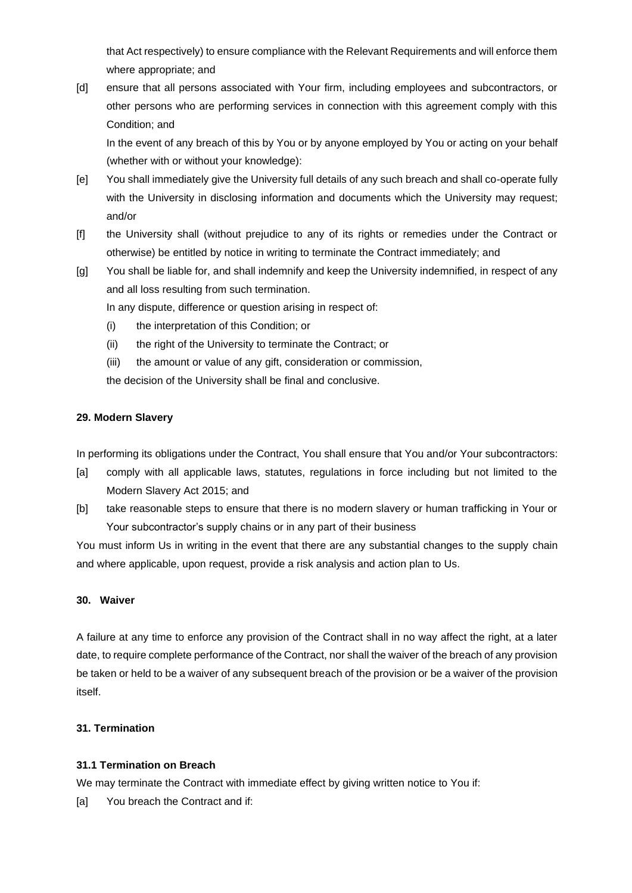that Act respectively) to ensure compliance with the Relevant Requirements and will enforce them where appropriate; and

[d] ensure that all persons associated with Your firm, including employees and subcontractors, or other persons who are performing services in connection with this agreement comply with this Condition; and

In the event of any breach of this by You or by anyone employed by You or acting on your behalf (whether with or without your knowledge):

- [e] You shall immediately give the University full details of any such breach and shall co-operate fully with the University in disclosing information and documents which the University may request; and/or
- [f] the University shall (without prejudice to any of its rights or remedies under the Contract or otherwise) be entitled by notice in writing to terminate the Contract immediately; and
- [g] You shall be liable for, and shall indemnify and keep the University indemnified, in respect of any and all loss resulting from such termination.

In any dispute, difference or question arising in respect of:

- (i) the interpretation of this Condition; or
- (ii) the right of the University to terminate the Contract; or
- (iii) the amount or value of any gift, consideration or commission,

the decision of the University shall be final and conclusive.

## **29. Modern Slavery**

In performing its obligations under the Contract, You shall ensure that You and/or Your subcontractors:

- [a] comply with all applicable laws, statutes, regulations in force including but not limited to the Modern Slavery Act 2015; and
- [b] take reasonable steps to ensure that there is no modern slavery or human trafficking in Your or Your subcontractor's supply chains or in any part of their business

You must inform Us in writing in the event that there are any substantial changes to the supply chain and where applicable, upon request, provide a risk analysis and action plan to Us.

## **30. Waiver**

A failure at any time to enforce any provision of the Contract shall in no way affect the right, at a later date, to require complete performance of the Contract, nor shall the waiver of the breach of any provision be taken or held to be a waiver of any subsequent breach of the provision or be a waiver of the provision itself.

## **31. Termination**

## **31.1 Termination on Breach**

We may terminate the Contract with immediate effect by giving written notice to You if:

[a] You breach the Contract and if: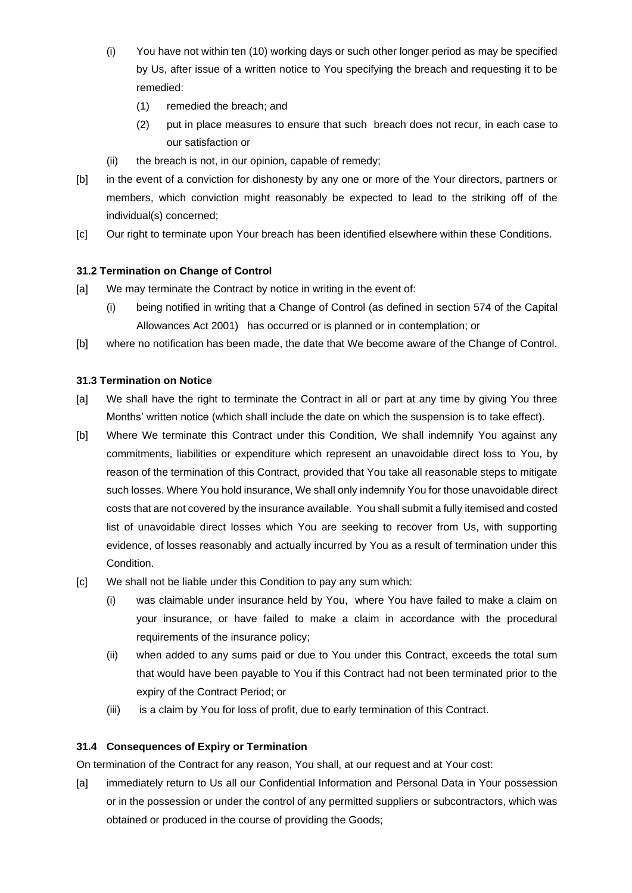- (i) You have not within ten (10) working days or such other longer period as may be specified by Us, after issue of a written notice to You specifying the breach and requesting it to be remedied:
	- (1) remedied the breach; and
	- (2) put in place measures to ensure that such breach does not recur, in each case to our satisfaction or
- (ii) the breach is not, in our opinion, capable of remedy;
- [b] in the event of a conviction for dishonesty by any one or more of the Your directors, partners or members, which conviction might reasonably be expected to lead to the striking off of the individual(s) concerned;
- [c] Our right to terminate upon Your breach has been identified elsewhere within these Conditions.

## **31.2 Termination on Change of Control**

- [a] We may terminate the Contract by notice in writing in the event of:
	- (i) being notified in writing that a Change of Control (as defined in section 574 of the Capital Allowances Act 2001) has occurred or is planned or in contemplation; or
- [b] where no notification has been made, the date that We become aware of the Change of Control.

## **31.3 Termination on Notice**

- [a] We shall have the right to terminate the Contract in all or part at any time by giving You three Months' written notice (which shall include the date on which the suspension is to take effect).
- [b] Where We terminate this Contract under this Condition, We shall indemnify You against any commitments, liabilities or expenditure which represent an unavoidable direct loss to You, by reason of the termination of this Contract, provided that You take all reasonable steps to mitigate such losses. Where You hold insurance, We shall only indemnify You for those unavoidable direct costs that are not covered by the insurance available. You shall submit a fully itemised and costed list of unavoidable direct losses which You are seeking to recover from Us, with supporting evidence, of losses reasonably and actually incurred by You as a result of termination under this Condition.
- [c] We shall not be liable under this Condition to pay any sum which:
	- (i) was claimable under insurance held by You, where You have failed to make a claim on your insurance, or have failed to make a claim in accordance with the procedural requirements of the insurance policy;
	- (ii) when added to any sums paid or due to You under this Contract, exceeds the total sum that would have been payable to You if this Contract had not been terminated prior to the expiry of the Contract Period; or
	- (iii) is a claim by You for loss of profit, due to early termination of this Contract.

#### **31.4 Consequences of Expiry or Termination**

On termination of the Contract for any reason, You shall, at our request and at Your cost:

[a] immediately return to Us all our Confidential Information and Personal Data in Your possession or in the possession or under the control of any permitted suppliers or subcontractors, which was obtained or produced in the course of providing the Goods;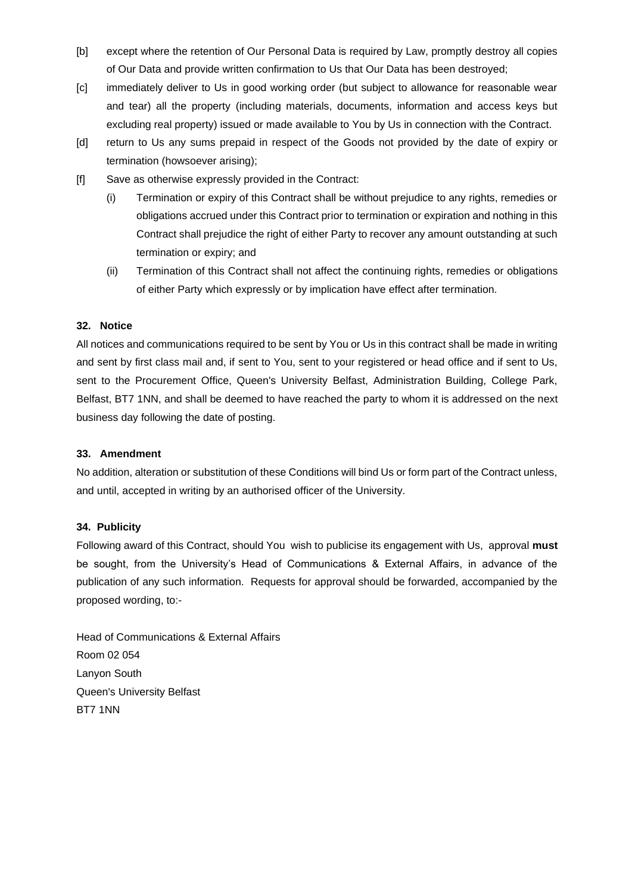- [b] except where the retention of Our Personal Data is required by Law, promptly destroy all copies of Our Data and provide written confirmation to Us that Our Data has been destroyed;
- [c] immediately deliver to Us in good working order (but subject to allowance for reasonable wear and tear) all the property (including materials, documents, information and access keys but excluding real property) issued or made available to You by Us in connection with the Contract.
- [d] return to Us any sums prepaid in respect of the Goods not provided by the date of expiry or termination (howsoever arising);
- [f] Save as otherwise expressly provided in the Contract:
	- (i) Termination or expiry of this Contract shall be without prejudice to any rights, remedies or obligations accrued under this Contract prior to termination or expiration and nothing in this Contract shall prejudice the right of either Party to recover any amount outstanding at such termination or expiry; and
	- (ii) Termination of this Contract shall not affect the continuing rights, remedies or obligations of either Party which expressly or by implication have effect after termination.

## **32. Notice**

All notices and communications required to be sent by You or Us in this contract shall be made in writing and sent by first class mail and, if sent to You, sent to your registered or head office and if sent to Us, sent to the Procurement Office, Queen's University Belfast, Administration Building, College Park, Belfast, BT7 1NN, and shall be deemed to have reached the party to whom it is addressed on the next business day following the date of posting.

#### **33. Amendment**

No addition, alteration or substitution of these Conditions will bind Us or form part of the Contract unless, and until, accepted in writing by an authorised officer of the University.

## **34. Publicity**

Following award of this Contract, should You wish to publicise its engagement with Us, approval **must** be sought, from the University's Head of Communications & External Affairs, in advance of the publication of any such information. Requests for approval should be forwarded, accompanied by the proposed wording, to:-

Head of Communications & External Affairs Room 02 054 Lanyon South Queen's University Belfast BT7 1NN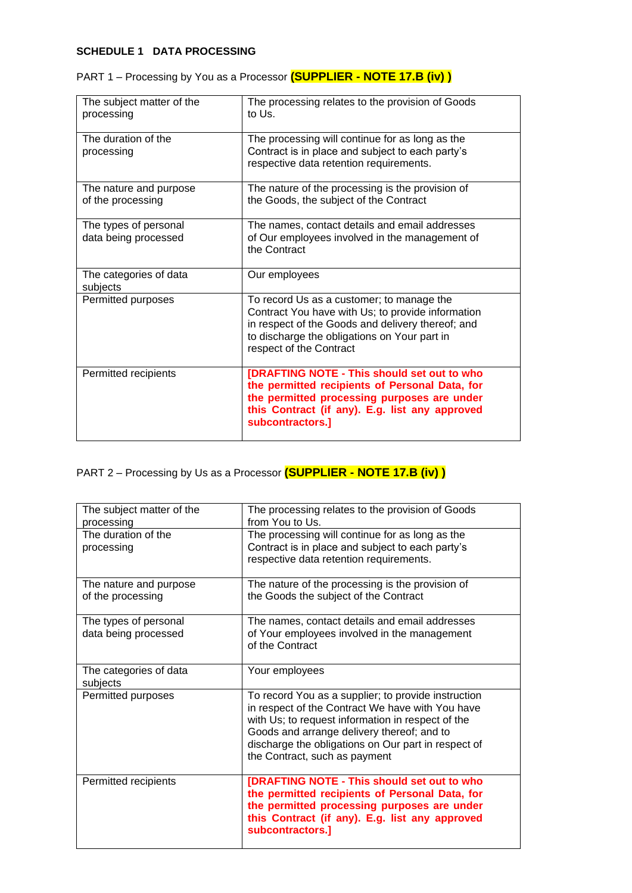## **SCHEDULE 1 DATA PROCESSING**

| The subject matter of the<br>processing       | The processing relates to the provision of Goods<br>to Us.                                                                                                                                                                     |
|-----------------------------------------------|--------------------------------------------------------------------------------------------------------------------------------------------------------------------------------------------------------------------------------|
| The duration of the<br>processing             | The processing will continue for as long as the<br>Contract is in place and subject to each party's<br>respective data retention requirements.                                                                                 |
| The nature and purpose<br>of the processing   | The nature of the processing is the provision of<br>the Goods, the subject of the Contract                                                                                                                                     |
| The types of personal<br>data being processed | The names, contact details and email addresses<br>of Our employees involved in the management of<br>the Contract                                                                                                               |
| The categories of data<br>subjects            | Our employees                                                                                                                                                                                                                  |
| Permitted purposes                            | To record Us as a customer; to manage the<br>Contract You have with Us; to provide information<br>in respect of the Goods and delivery thereof; and<br>to discharge the obligations on Your part in<br>respect of the Contract |
| Permitted recipients                          | [DRAFTING NOTE - This should set out to who<br>the permitted recipients of Personal Data, for<br>the permitted processing purposes are under<br>this Contract (if any). E.g. list any approved<br>subcontractors.]             |

| PART 1 - Processing by You as a Processor (SUPPLIER - NOTE 17.B (iv)) |  |
|-----------------------------------------------------------------------|--|
|-----------------------------------------------------------------------|--|

# PART 2 – Processing by Us as a Processor **(SUPPLIER - NOTE 17.B (iv) )**

| The subject matter of the<br>processing<br>The duration of the<br>processing | The processing relates to the provision of Goods<br>from You to Us.<br>The processing will continue for as long as the<br>Contract is in place and subject to each party's<br>respective data retention requirements.                                                                              |
|------------------------------------------------------------------------------|----------------------------------------------------------------------------------------------------------------------------------------------------------------------------------------------------------------------------------------------------------------------------------------------------|
| The nature and purpose<br>of the processing                                  | The nature of the processing is the provision of<br>the Goods the subject of the Contract                                                                                                                                                                                                          |
| The types of personal<br>data being processed                                | The names, contact details and email addresses<br>of Your employees involved in the management<br>of the Contract                                                                                                                                                                                  |
| The categories of data<br>subjects                                           | Your employees                                                                                                                                                                                                                                                                                     |
| Permitted purposes                                                           | To record You as a supplier; to provide instruction<br>in respect of the Contract We have with You have<br>with Us; to request information in respect of the<br>Goods and arrange delivery thereof; and to<br>discharge the obligations on Our part in respect of<br>the Contract, such as payment |
| Permitted recipients                                                         | [DRAFTING NOTE - This should set out to who<br>the permitted recipients of Personal Data, for<br>the permitted processing purposes are under<br>this Contract (if any). E.g. list any approved<br>subcontractors.]                                                                                 |